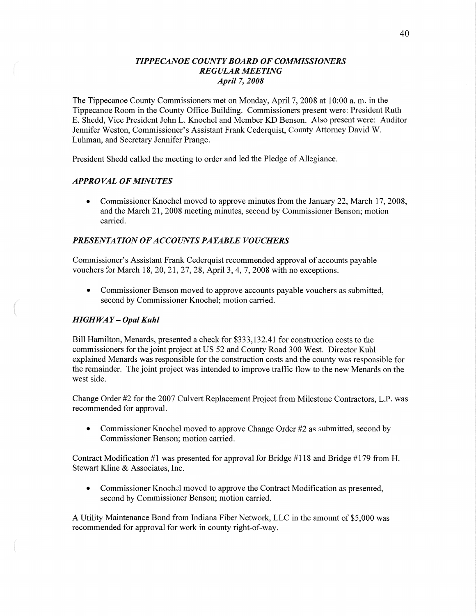## *TIPPE CANOE COUNTY BOARD* OF *COMMISSIONERS REGULAR MEETING April* 7, *2008*

The Tippecanoe County Commissioners met on Monday, April 7, 2008 at 10:00 a. m. in the Tippecanoe Room in the County Office Building. Commissioners present were: President Ruth B. Shedd, **Vice** President John L. Knochel and Member KD Benson. Also present were: Auditor Jennifer Weston, Commissioner's Assistant Frank Cederquist, County Attorney David W. Luhman, and Secretary Jennifer Prange.

President Shedd called the meeting to order and led the Pledge of Allegiance.

### *APPROVAL* OF *MINUTES*

**0** Commissioner Knochel moved to approve minutes from the January 22, March 17, 2008, and the March 21, 2008 meeting minutes, second by Commissioner Benson; motion carried.

## **PRESENTATION OF ACCOUNTS PAYABLE VOUCHERS**

Commissioner's Assistant Frank Cederquist recommended approval of accounts payable vouchers for March 18, 20, 21, 27, 28, April 3, 4, 7, 2008 with no exceptions.

**0** Commissioner Benson moved to approve accounts payable vouchers as submitted, second by Commissioner Knochel; motion carried.

#### *HIGH* WAY **—** *Opal Kuhl*

Bill Hamilton, Menards, presented a check for \$333,132.41 for construction costs to the commissioners for the joint project at US 52 and County Road 300 West. Director Kuhl explained Menards was responsible for the construction costs and the county was responsible for the remainder. The joint project was intended to improve traffic flow to the new Menards on the west side.

Change Order #2 for the 2007 Culvert Replacement Project from Milestone Contractors, **L.P.** was recommended for approval.

• Commissioner Knochel moved to approve Change Order #2 as submitted, second by Commissioner Benson; motion carried.

Contract Modification #1 was presented for approval for Bridge #1 18 and Bridge #179 from H. Stewart Kline & Associates, Inc.

**0** Commissioner Knochel moved to approve the Contract Modification as presented, second by Commissioner Benson; motion carried.

**A** Utility Maintenance Bond from Indiana Fiber Network, LLC in the amount of \$5,000 was recommended for approval for work in county right-of-way.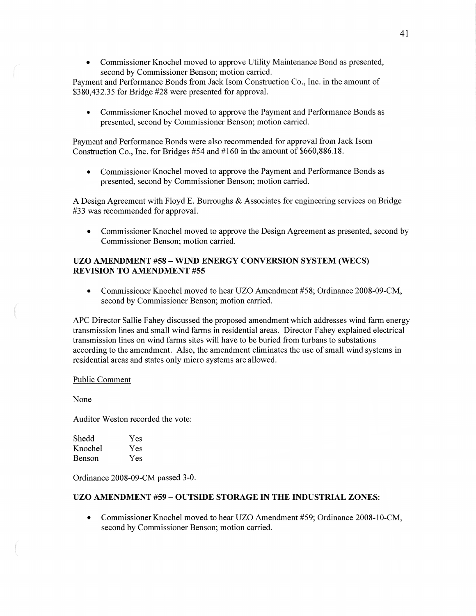**0** Commissioner Knochel moved to approve Utility Maintenance Bond as presented, second by Commissioner Benson; motion carried.

Payment and Performance Bonds from Jack Isom Construction Co., Inc. in the amount of \$380,432.35 for Bridge #28 were presented for approval.

**0** Commissioner Knochel moved to approve the Payment and Performance Bonds as presented, second by Commissioner Benson; motion carried.

Payment and Performance Bonds were also recommended for approval from Jack Isom Construction Co., Inc. for Bridges #54 and #160 in the amount of \$660,886.18.

**0** Commissioner Knochel moved to approve the Payment and Performance Bonds as presented, second by Commissioner Benson; motion carried.

**A** Design Agreement with Floyd E. Burroughs & Associates for engineering services on Bridge #33 was recommended for approval.

Commissioner Knochel moved to approve the Design Agreement as presented, second by Commissioner Benson; motion carried.

## UZO **AMENDMENT** #58 **— WIND ENERGY CONVERSION SYSTEM (WECS) REVISION** TO **ANIENDMENT** #55

**0** Commissioner Knochel moved to hear UZO Amendment #5 8; Ordinance 2008-09-CM, second by Commissioner Benson; motion carried.

APC Director Sallie Fahey discussed the proposed amendment which addresses wind farm energy transmission **lines** and small wind farms in residential areas. Director Fahey explained electrical transmission lines on wind farms sites will **have** to be buried from turbans to substations according to the amendment. Also, the amendment eliminates the use of small wind systems in residential areas and states only micro systems are allowed.

### Public Comment

None

«WWW-r»

Auditor Weston recorded the vote:

| Shedd   | Yes |
|---------|-----|
| Knochel | Yes |
| Benson  | Yes |

Ordinance 2008-09-CM passed 3-0.

### UZO **AMENDMENT** #59 **— OUTSIDE STORAGE** IN THE **INDUSTRIAL ZONES:**

**0** Commissioner Knochel moved to hear UZO Amendment #59; Ordinance 2008-10-CM, second by Commissioner Benson; motion carried.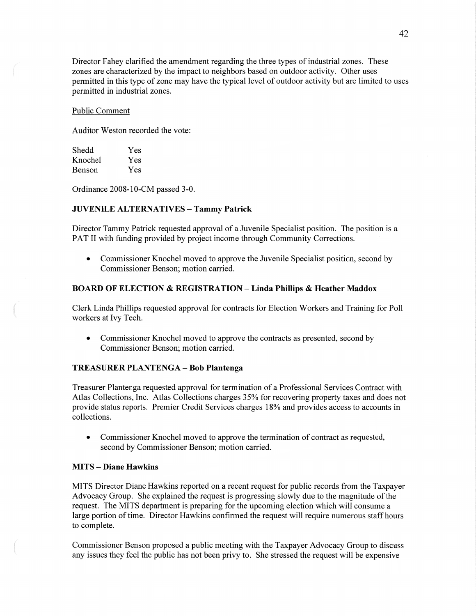Director Fahey clarified the amendment regarding the three types of industrial zones. These zones are characterized by the impact to neighbors based on outdoor activity. Other uses permitted in this type of zone may have the typical level of outdoor activity but are limited to uses permitted in industrial zones.

#### Public Comment

Auditor Weston recorded the vote:

| Shedd   | Yes |
|---------|-----|
| Knochel | Yes |
| Benson  | Yes |

Ordinance 2008-10-CM passed 3-0.

#### **JUVENILE ALTERNATIVES — Tammy Patrick**

Director Tammy Patrick requested approval of a Juvenile Specialist position. The position is a PAT II with funding provided by project income through Community Corrections.

• Commissioner Knochel moved to approve the Juvenile Specialist position, second by Commissioner Benson; motion carried.

### **BOARD** OF **ELECTION & REGISTRATION** *—* **Linda** Phillips **& Heather Maddox**

Clerk Linda Phillips requested approval for contracts for Election Workers and Training for P011 workers at Ivy Tech.

**0** Commissioner Knochel moved to approve the contracts as presented, second by Commissioner Benson; motion carried.

#### **TREASURER PLAN TENGA —** Bob **Plantenga**

Treasurer Plantenga requested approval for termination of a Professional Services Contract with Atlas Collections, Inc. **Atlas** Collections charges 35% for recovering property taxes and does not provide status reports. Premier Credit Services charges 18% and provides access to accounts in collections.

• Commissioner Knochel moved to approve the termination of contract as requested, second by Commissioner Benson; motion carried.

### **MITS** *—* **Diane Hawkins**

**MITS** Director Diane Hawkins reported on a recent request for public records from the Taxpayer Advocacy Group. She explained the request is progressing slowly due to the magnitude of the request. The **MITS** department is preparing for the upcoming election which will consume <sup>a</sup> large portion of time. Director Hawkins confirmed the request will require numerous staff hours to complete.

Commissioner Benson proposed **<sup>a</sup>**public meeting with the Taxpayer Advocacy Group to discuss any issues they feel the public has not been privy to. She stressed the request will be expensive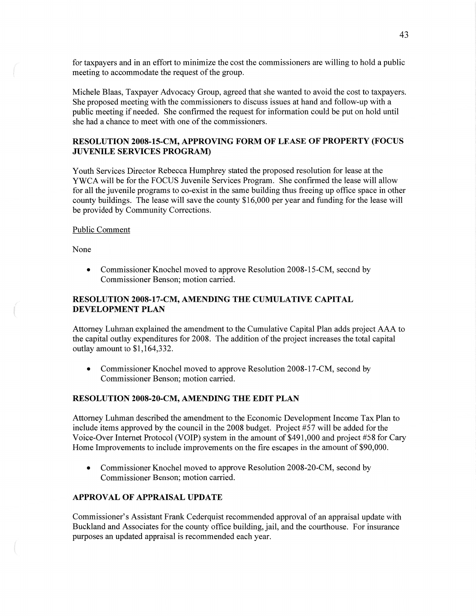for taxpayers and in an effort to minimize the cost the commissioners are willing to hold a public meeting to accommodate the request of the group.

Michele Blaas, Taxpayer Advocacy Group, agreed that she wanted to avoid the cost to taxpayers. She proposed meeting with the commissioners to discuss issues at **hand** and follow-up with a public meeting if needed. She confirmed the request for information could be put on hold until she had a chance to meet with one of the commissioners.

## **RESOLUTION 2008-15-CM, APPROVING FORM** OF **LEASE** OF **PROPERTY (FOCUS JUVENILE SERVICES PROGRAM)**

Youth Services Director Rebecca Humphrey stated the proposed resolution for lease at the YWCA will be for the FOCUS Juvenile Services Program. She confirmed the lease will allow for all the juvenile programs to co-exist in the same building thus freeing up office space in other county buildings. The lease will save the county \$16,000 per year and funding for the lease will be provided by Community Corrections.

### Public Comment

None

 $\big($ 

**0** Commissioner Knochel **moved** to approve Resolution 2008-15-CM, second by Commissioner Benson; motion carried.

## **RESOLUTION** 2008—l7—CM, **AMENDING** THE **CUMULATIVE CAPITAL DEVELOPMENT PLAN**

Attorney Luhman explained the amendment to the Cumulative Capital Plan adds project AAA to the capital outlay expenditures for 2008. The addition of the project increases the total capital outlay amount to \$1,164,332.

• Commissioner Knochel moved to approve Resolution 2008-17-CM, second by Commissioner Benson; motion carried.

### **RESOLUTION 2008-20-CM, AMENDING** THE **EDIT PLAN**

Attorney Luhman described the amendment to the Economic Development Income Tax Plan to include items approved by the council in the 2008 budget. Project #57 will be added for the Voice-Over Internet Protocol (VOIP) system in the amount of \$491,000 and project #58 for Cary Home Improvements to include improvements on the fire escapes in the amount of \$90,000.

• Commissioner Knochel moved to approve Resolution 2008-20-CM, second by Commissioner Benson; motion carried.

# **APPROVAL** OF **APPRAISAL UPDATE**

Commissioner's Assistant Frank Cederquist recommended approval of an appraisal update with Buckland and Associates for the county office building, jail, and the courthouse. For insurance purposes an updated appraisal is recommended each year.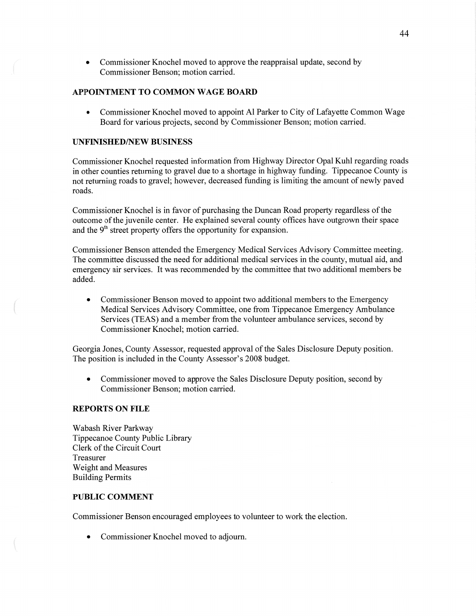• Commissioner Knochel moved to approve the reappraisal update, second by Commissioner Benson; motion carried.

## **APPOINTMENT** TO **COMMON WAGE BOARD**

*0* Commissioner Knochel moved to appoint A1 Parker to City of Lafayette Common Wage Board for various projects, second by Commissioner Benson; motion carried.

## **UNFINISHED/NEW BUSINESS**

Commissioner Knochel requested information from Highway Director Opal Kuhl regarding roads in other counties returning to gravel due to a shortage in highway funding. Tippecanoe County is not returning roads to gravel; however, decreased funding is limiting the **amount** of newly paved roads.

Commissioner Knochel is in favor of purchasing the Duncan Road property regardless of the outcome of the juvenile center. He explained several county offices have outgrown their space and the  $9<sup>th</sup>$  street property offers the opportunity for expansion.

Commissioner Benson attended the Emergency Medical Services Advisory Committee meeting. The committee discussed the need for additional medical services in the county, mutual aid, and emergency air services. It was recommended by the committee that two additional members be added.

**0** Commissioner Benson moved to appoint two additional members to the Emergency Medical Services Advisory Committee, one from Tippecanoe Emergency Ambulance Services (TEAS) and a member from the volunteer ambulance services, second by Commissioner Knochel; motion carried.

Georgia Jones, County Assessor, requested approval of the Sales Disclosure Deputy position. The position is included in the County Assessor's 2008 budget.

• Commissioner moved to approve the Sales Disclosure Deputy position, second by Commissioner Benson; motion carried.

### **REPORTS** ON **FILE**

Wabash River Parkway Tippecanoe County Public Library Clerk of the Circuit Court Treasurer Weight and Measures Building Permits

## **PUBLIC COMMENT**

Commissioner Benson encouraged employees to volunteer to work the election.

**0** Commissioner Knochel moved to adjourn.